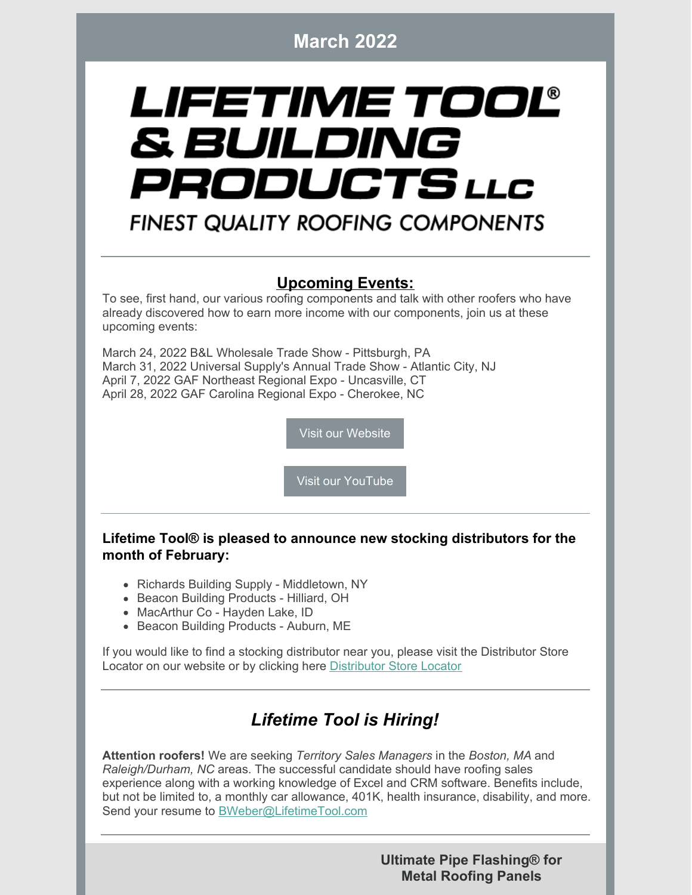**March 2022**

# LIFETIME TOOL® & BUILDING PRODUCTS LLC

## **FINEST QUALITY ROOFING COMPONENTS**

### **Upcoming Events:**

To see, first hand, our various roofing components and talk with other roofers who have already discovered how to earn more income with our components, join us at these upcoming events:

March 24, 2022 B&L Wholesale Trade Show - Pittsburgh, PA March 31, 2022 Universal Supply's Annual Trade Show - Atlantic City, NJ April 7, 2022 GAF Northeast Regional Expo - Uncasville, CT April 28, 2022 GAF Carolina Regional Expo - Cherokee, NC

Visit our [Website](https://lifetimetool.com/)

Visit our [YouTube](https://www.youtube.com/channel/UCc-RNLrqoj6h1Ftx9U-ENzg)

#### **Lifetime Tool® is pleased to announce new stocking distributors for the month of February:**

- Richards Building Supply Middletown, NY
- Beacon Building Products Hilliard, OH
- MacArthur Co Hayden Lake, ID
- Beacon Building Products Auburn, ME

If you would like to find a stocking distributor near you, please visit the Distributor Store Locator on our website or by clicking here [Distributor](https://lifetimetool.com/store-locator/) Store Locator

## *Lifetime Tool is Hiring!*

**Attention roofers!** We are seeking *Territory Sales Managers* in the *Boston, MA* and *Raleigh/Durham, NC* areas. The successful candidate should have roofing sales experience along with a working knowledge of Excel and CRM software. Benefits include, but not be limited to, a monthly car allowance, 401K, health insurance, disability, and more. Send your resume to [BWeber@LifetimeTool.com](mailto:BWeber@LifetimeTool.com)

> **Ultimate Pipe Flashing® for Metal Roofing Panels**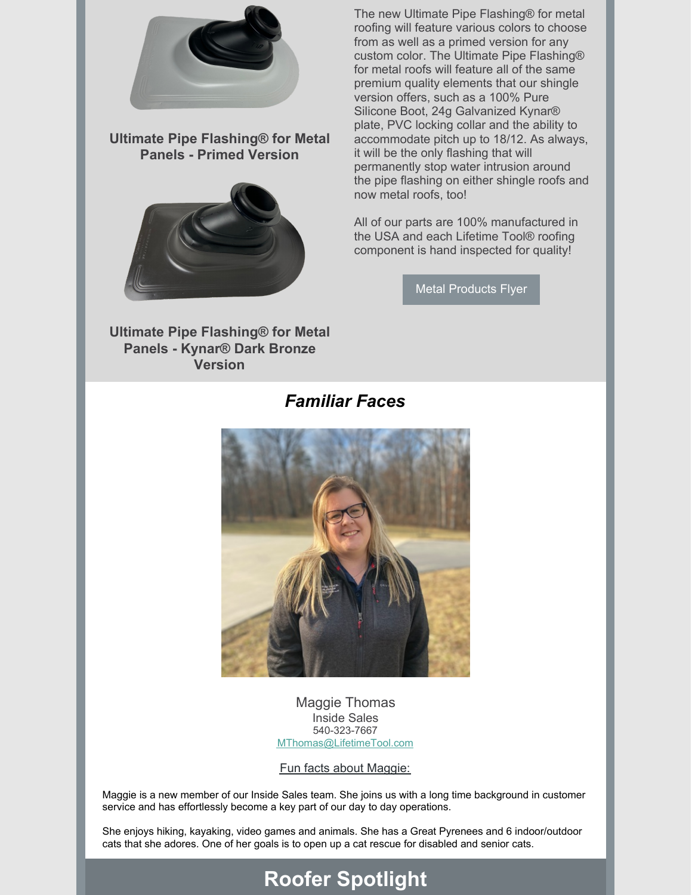

**Ultimate Pipe Flashing® for Metal Panels - Primed Version**



The new Ultimate Pipe Flashing® for metal roofing will feature various colors to choose from as well as a primed version for any custom color. The Ultimate Pipe Flashing® for metal roofs will feature all of the same premium quality elements that our shingle version offers, such as a 100% Pure Silicone Boot, 24g Galvanized Kynar® plate, PVC locking collar and the ability to accommodate pitch up to 18/12. As always, it will be the only flashing that will permanently stop water intrusion around the pipe flashing on either shingle roofs and now metal roofs, too!

All of our parts are 100% manufactured in the USA and each Lifetime Tool® roofing component is hand inspected for quality!

Metal [Products](https://files.constantcontact.com/646a5525801/594544d4-756d-4ad6-85c1-47c1911dc8be.pdf) Flyer

**Ultimate Pipe Flashing® for Metal Panels - Kynar® Dark Bronze Version**

#### *Familiar Faces*



Maggie Thomas Inside Sales 540-323-7667 [MThomas@LifetimeTool.com](mailto:MThomas@LifetimeTool.com)

Fun facts about Maggie:

Maggie is a new member of our Inside Sales team. She joins us with a long time background in customer service and has effortlessly become a key part of our day to day operations.

She enjoys hiking, kayaking, video games and animals. She has a Great Pyrenees and 6 indoor/outdoor cats that she adores. One of her goals is to open up a cat rescue for disabled and senior cats.

# **Roofer Spotlight**